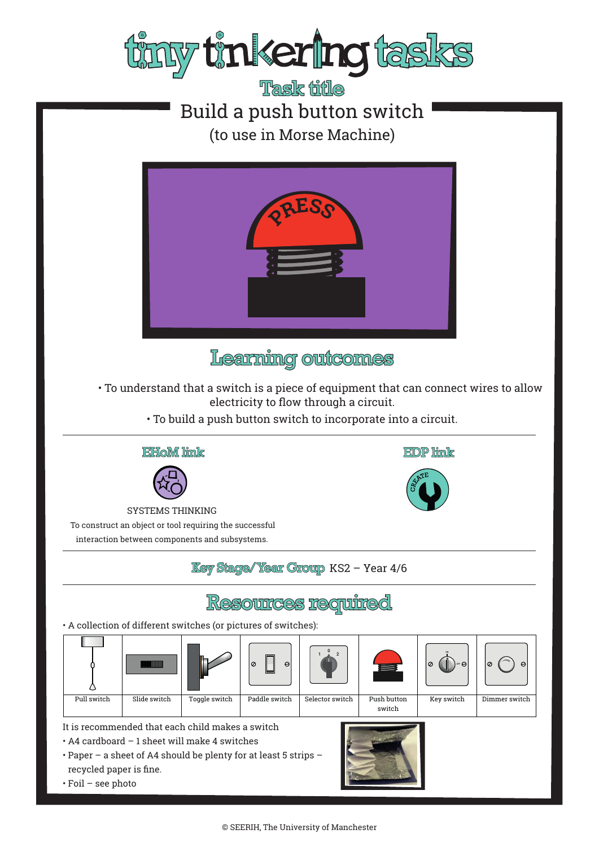

Task file Build a push button switch (to use in Morse Machine)



Learning outcomes

• To understand that a switch is a piece of equipment that can connect wires to allow electricity to flow through a circuit.

**EDP** link

• To build a push button switch to incorporate into a circuit.





SYSTEMS THINKING To construct an object or tool requiring the successful interaction between components and subsystems.

### **Key Stage/Year Group KS2 - Year 4/6**

# **Resources required**

• A collection of different switches (or pictures of switches):



It is recommended that each child makes a switch

- A4 cardboard 1 sheet will make 4 switches
- Paper a sheet of A4 should be plenty for at least 5 strips recycled paper is fine.
- Foil see photo